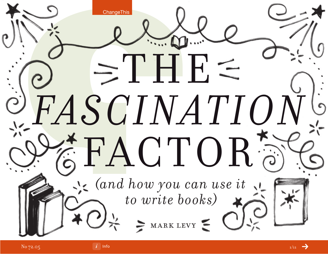

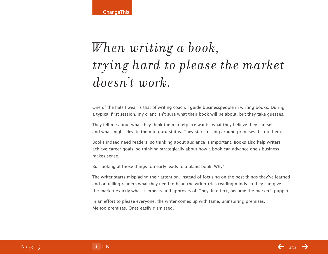**ChangeThis** 

# *W hen writing a book, trying hard to please the market doesn't work.*

One of the hats I wear is that of writing coach. I guide businesspeople in writing books. During a typical first session, my client isn't sure what their book will be about, but they take guesses.

They tell me about what they think the marketplace wants, what they believe they can sell, and what might elevate them to guru status. They start tossing around premises. I stop them.

Books indeed need readers, so thinking about audience is important. Books also help writers achieve career goals, so thinking strategically about how a book can advance one's business makes sense.

But looking at those things too early leads to a bland book. Why?

The writer starts misplacing their attention. Instead of focusing on the best things they've learned and on telling readers what they need to hear, the writer tries reading minds so they can give the market exactly what it expects and approves of. They, in effect, become the market's puppet.

In an effort to please everyone, the writer comes up with tame, uninspiring premises. Me-too premises. Ones easily dismissed.

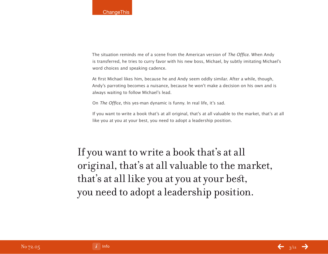The situation reminds me of a scene from the American version of The Office. When Andy is transferred, he tries to curry favor with his new boss, Michael, by subtly imitating Michael's word choices and speaking cadence.

At first Michael likes him, because he and Andy seem oddly similar. After a while, though, Andy's parroting becomes a nuisance, because he won't make a decision on his own and is always waiting to follow Michael's lead.

On The Office, this yes-man dynamic is funny. In real life, it's sad.

If you want to write a book that's at all original, that's at all valuable to the market, that's at all like you at you at your best, you need to adopt a leadership position.

## If you want to write a book that's at all original, that's at all valuable to the market, that's at all like you at you at your best, you need to adopt a leadership position.

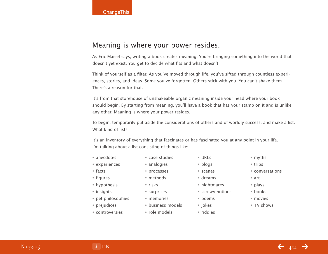### Meaning is where your power resides.

As Eric Maisel says, writing a book creates meaning. You're bringing something into the world that doesn't yet exist. You get to decide what fits and what doesn't.

Think of yourself as a filter. As you've moved through life, you've sifted through countless experiences, stories, and ideas. Some you've forgotten. Others stick with you. You can't shake them. There's a reason for that.

It's from that storehouse of unshakeable organic meaning inside your head where your book should begin. By starting from meaning, you'll have a book that has your stamp on it and is unlike any other. Meaning is where your power resides.

To begin, temporarily put aside the considerations of others and of worldly success, and make a list. What kind of list?

It's an inventory of everything that fascinates or has fascinated you at any point in your life. I'm talking about a list consisting of things like:

- anecdotes
- experiences
- facts
- figures
- hypothesis
- insights
- pet philosophies
- prejudices
- controversies

• processes • methods

• case studies • analogies

- risks
- surprises
	- memories
	- business models
- role models

• dreams • nightmares

• URLs • blogs • scenes

- screwy notions
- poems
- 
- jokes
- riddles
- myths • trips
- conversations
- art
- plays
- books
- movies
- TV shows

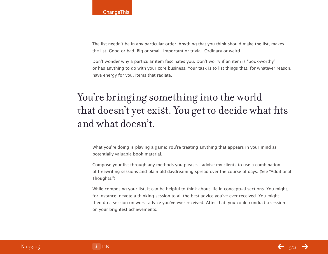The list needn't be in any particular order. Anything that you think should make the list, makes the list. Good or bad. Big or small. Important or trivial. Ordinary or weird.

Don't wonder why a particular item fascinates you. Don't worry if an item is "book-worthy" or has anything to do with your core business. Your task is to list things that, for whatever reason, have energy for you. Items that radiate.

## You're bringing something into the world that doesn't yet exist. You get to decide what fits and what doesn't.

What you're doing is playing a game: You're treating anything that appears in your mind as potentially valuable book material.

Compose your list through any methods you please. I advise my clients to use a combination of freewriting sessions and plain old daydreaming spread over the course of days. (See "Additional Thoughts.")

While composing your list, it can be helpful to think about life in conceptual sections. You might, for instance, devote a thinking session to all the best advice you've ever received. You might then do a session on worst advice you've ever received. After that, you could conduct a session on your brightest achievements.

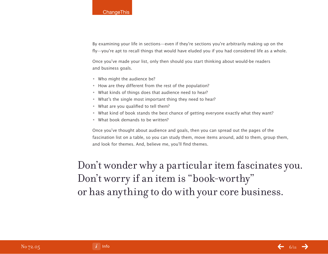By examining your life in sections—even if they're sections you're arbitrarily making up on the fly—you're apt to recall things that would have eluded you if you had considered life as a whole.

Once you've made your list, only then should you start thinking about would-be readers and business goals.

- Who might the audience be?
- How are they different from the rest of the population?
- What kinds of things does that audience need to hear?
- What's the single most important thing they need to hear?
- What are you qualified to tell them?
- What kind of book stands the best chance of getting everyone exactly what they want?
- What book demands to be written?

Once you've thought about audience and goals, then you can spread out the pages of the fascination list on a table, so you can study them, move items around, add to them, group them, and look for themes. And, believe me, you'll find themes.

Don't wonder why a particular item fascinates you. Don't worry if an item is "book-worthy" or has anything to do with your core business.

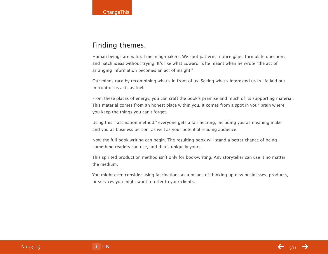### Finding themes.

Human beings are natural meaning-makers. We spot patterns, notice gaps, formulate questions, and hatch ideas without trying. It's like what Edward Tufte meant when he wrote "the act of arranging information becomes an act of insight."

Our minds race by recombining what's in front of us. Seeing what's interested us in life laid out in front of us acts as fuel.

From these places of energy, you can craft the book's premise and much of its supporting material. This material comes from an honest place within you. It comes from a spot in your brain where you keep the things you can't forget.

Using this "fascination method," everyone gets a fair hearing, including you as meaning maker and you as business person, as well as your potential reading audience.

Now the full book-writing can begin. The resulting book will stand a better chance of being something readers can use, and that's uniquely yours.

This spirited production method isn't only for book-writing. Any storyteller can use it no matter the medium.

You might even consider using fascinations as a means of thinking up new businesses, products, or services you might want to offer to your clients.



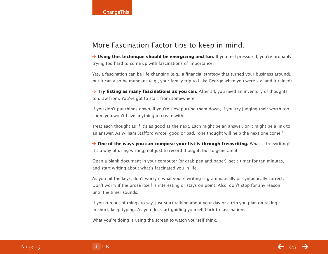### More Fascination Factor tips to keep in mind.

→ **Using this technique should be energizing and fun.** If you feel pressured, you're probably trying too hard to come up with fascinations of importance.

Yes, a fascination can be life-changing (e.g., a financial strategy that turned your business around), but it can also be mundane (e.g., your family trip to Lake George when you were six, and it rained).

→ **Try listing as many fascinations as you can.** After all, you need an inventory of thoughts to draw from. You've got to start from somewhere.

If you don't put things down, if you're slow putting them down, if you try judging their worth too soon, you won't have anything to create with.

Treat each thought as if it's as good as the next. Each might be an answer, or it might be a link to an answer. As William Stafford wrote, good or bad, "one thought will help the next one come."

→ One of the ways you can compose your list is through freewriting. What is freewriting? It's a way of using writing, not just to record thought, but to generate it.

Open a blank document in your computer (or grab pen and paper), set a timer for ten minutes, and start writing about what's fascinated you in life.

As you hit the keys, don't worry if what you're writing is grammatically or syntactically correct. Don't worry if the prose itself is interesting or stays on point. Also, don't stop for any reason until the timer sounds.

If you run out of things to say, just start talking about your day or a trip you plan on taking. In short, keep typing. As you do, start guiding yourself back to fascinations.

What you're doing is using the screen to watch yourself think.

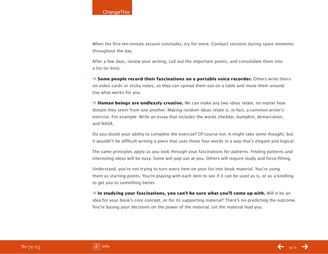When the first ten-minute session concludes, try for more. Conduct sessions during spare moments throughout the day.

After a few days, review your writing, cull out the important points, and consolidate them into a list (or lists).

**→ Some people record their fascinations on a portable voice recorder.** Others write theirs on index cards or sticky notes, so they can spread them out on a table and move them around. Use what works for you.

 $\rightarrow$  **Human beings are endlessly creative.** We can make any two ideas relate, no matter how distant they seem from one another. Making random ideas relate is, in fact, a common writer's exercise. For example: Write an essay that includes the words cheddar, bumpkin, demarcation, and NASA.

Do you doubt your ability to complete the exercise? Of course not. It might take some thought, but it wouldn't be difficult writing a piece that uses those four words in a way that's elegant and logical.

The same principles apply as you look through your fascinations for patterns. Finding patterns and interesting ideas will be easy. Some will pop out at you. Others will require study and force-fitting.

Understand, you're not trying to turn every item on your list into book material. You're using them as starting points. You're playing with each item to see if it can be used as is, or as a kindling to get you to something better.

 $\rightarrow$  **In studying your fascinations, you can't be sure what you'll come up with.** Will it be an idea for your book's core concept, or for its supporting material? There's no predicting the outcome. You're basing your decisions on the power of the material. Let the material lead you.

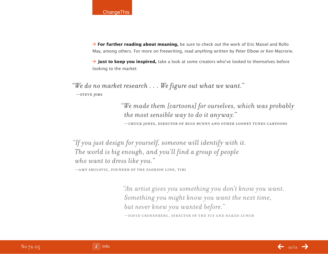

**→ For further reading about meaning,** be sure to check out the work of Eric Maisel and Rollo May, among others. For more on freewriting, read anything written by Peter Elbow or Ken Macrorie.

→ **Just to keep you inspired,** take a look at some creators who've looked to themselves before looking to the market:

 *"We do no market research . . . We figure out what we want."* —steve jobs

> *"We made them [cartoons] for ourselves, which was probably the most sensible way to do it anyway."* —chuck jones, director of bugs bunny and other looney tunes cartoons

*"If you just design for yourself, someone will identify with it. The world is big enough, and you'll find a group of people who want to dress like you."* 

—amy smilovic, founder of the fashion line, tibi

*"An artist gives you something you don't know you want. Something you might know you want the next time, but never knew you wanted before."*  —david cronenberg, director of the fly and naked lunch